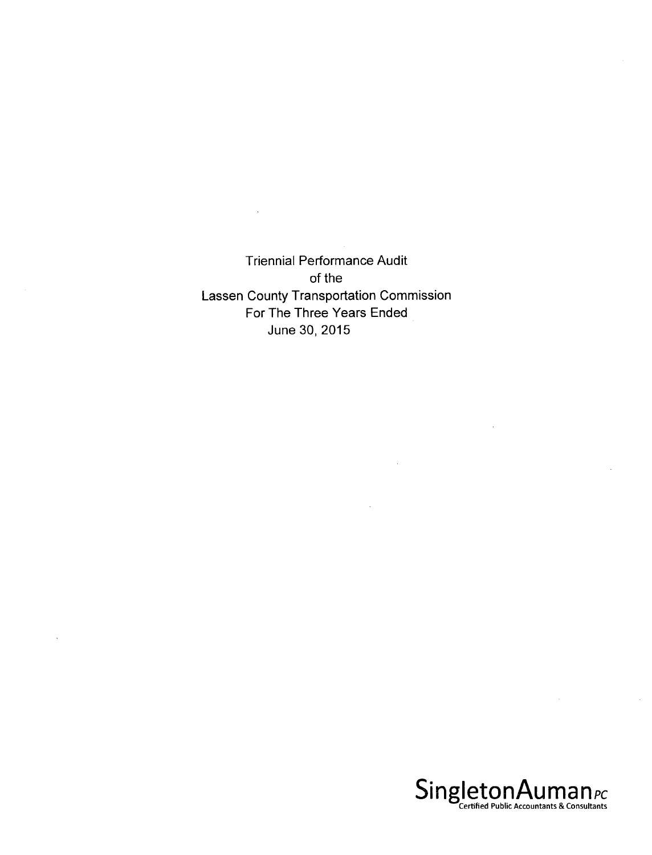Triennial Performance Audit of the Lassen County Transportation Commission For The Three Years Ended June 30, 2015

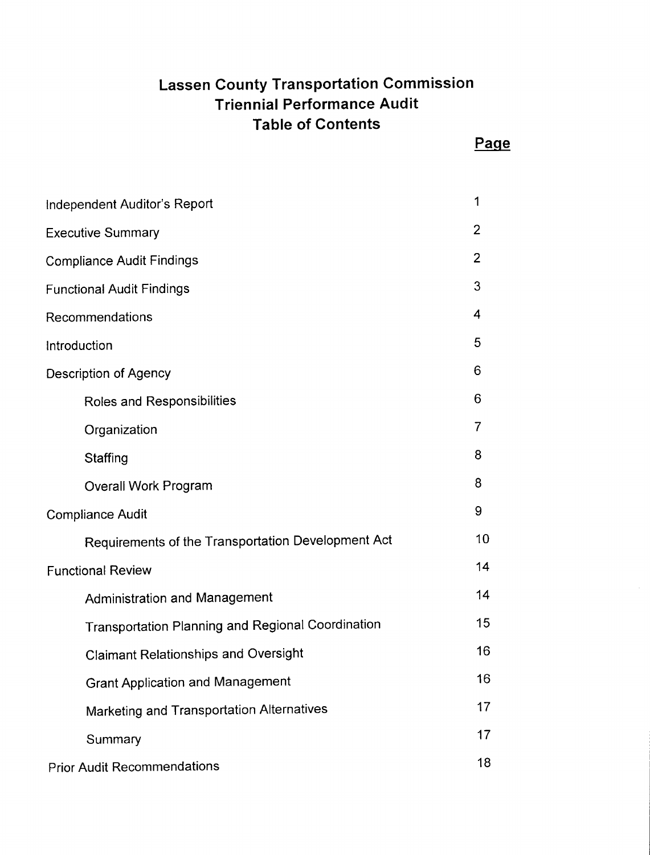# **Lassen County Transportation Commission Triennial Performance Audit Table of Contents**

| Independent Auditor's Report                             | 1  |
|----------------------------------------------------------|----|
| <b>Executive Summary</b>                                 | 2  |
| <b>Compliance Audit Findings</b>                         | 2  |
| <b>Functional Audit Findings</b>                         | 3  |
| Recommendations                                          | 4  |
| Introduction                                             | 5  |
| Description of Agency                                    | 6  |
| Roles and Responsibilities                               | 6  |
| Organization                                             | 7  |
| Staffing                                                 | 8  |
| <b>Overall Work Program</b>                              | 8  |
| <b>Compliance Audit</b>                                  | 9  |
| Requirements of the Transportation Development Act       | 10 |
| <b>Functional Review</b>                                 | 14 |
| <b>Administration and Management</b>                     | 14 |
| <b>Transportation Planning and Regional Coordination</b> | 15 |
| <b>Claimant Relationships and Oversight</b>              | 16 |
| <b>Grant Application and Management</b>                  | 16 |
| Marketing and Transportation Alternatives                | 17 |
| Summary                                                  | 17 |
| <b>Prior Audit Recommendations</b>                       | 18 |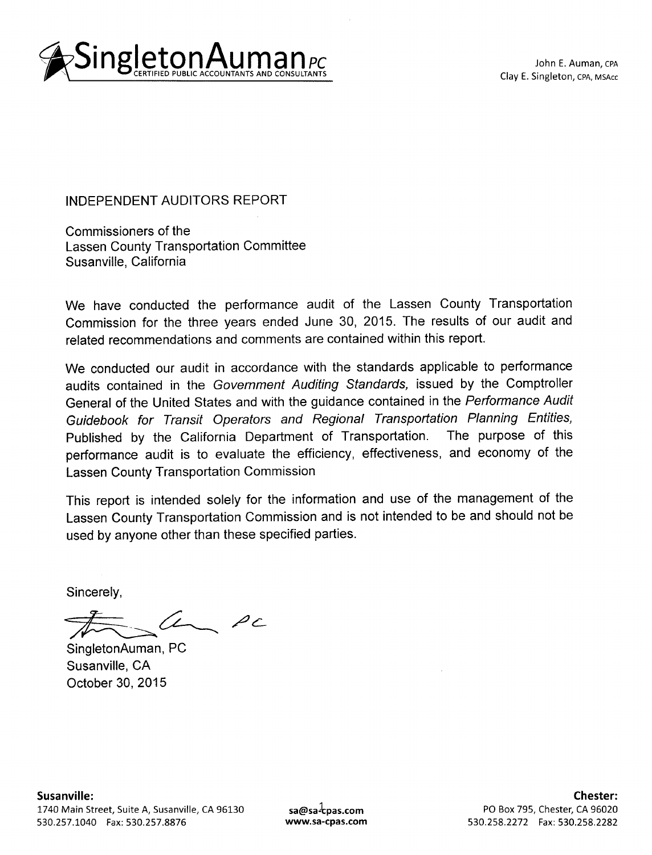

John E. Auman, CPA Clay E. Singleton, CPA, MSAcc

INDEPENDENT AUDITORS REPORT

Commissioners of the Lassen County Transportation Committee Susanville, California

We have conducted the performance audit of the Lassen County Transportation Commission for the three years ended June 30, 2015. The results of our audit and related recommendations and comments are contained within this report.

We conducted our audit in accordance with the standards applicable to performance audits contained in the Government Auditing Standards, issued by the Comptroller General of the United States and with the guidance contained in the Performance Audit Guidebook for Transit Operators and Regional Transportation Planning Entities, Published by the California Department of Transportation. The purpose of this performance audit is to evaluate the efficiency, effectiveness, and economy of the Lassen County Transportation Commission

This report is intended solely for the information and use of the management of the Lassen County Transportation Commission and is not intended to be and should not be used by anyone other than these specified parties.

Sincerely,

 $PC$ 

SingletonAuman, PC Susanville, CA October 30, 2015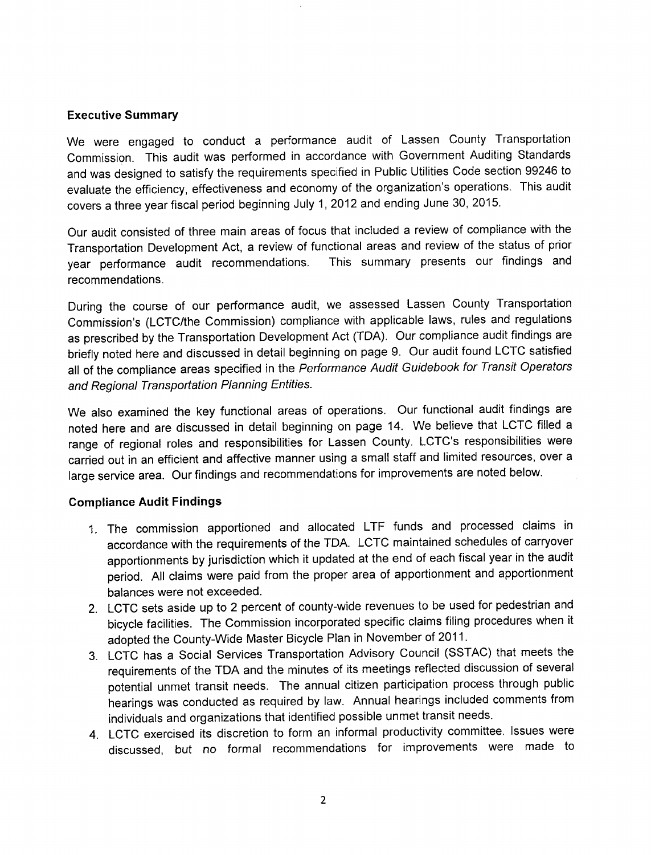#### **Executive Summary**

We were engaged to conduct a performance audit of Lassen County Transportation Commission. This audit was performed in accordance with Government Auditing Standards and was designed to satisfy the requirements specified in Public Utilities Code section 99246 to evaluate the efficiency, effectiveness and economy of the organization's operations. This audit covers a three year fiscal period beginning July 1,2012 and ending June 30, 2015.

Our audit consisted of three main areas of focus that included a review of compliance with the Transportation Development Act, a review of functional areas and review of the status of prior year performance audit recommendations. This summary presents our findings and recommendations.

During the course of our performance audit, we assessed Lassen County Transportation Commission's (LCTC/the Commission) compliance with applicable laws, rules and regulations as prescribed by the Transportation Development Act (TDA). Our compliance audit findings are briefly noted here and discussed in detail beginning on page 9. Our audit found LCTC satisfied all of the compliance areas specified in the Performance Audit Guidebook for Transit Operators and Regional Transportation Planning Entities.

We also examined the key functional areas of operations. Our functional audit findings are noted here and are discussed in detail beginning on page 14. We believe that LCTC filled a range of regional roles and responsibilities for Lassen County. LCTC's responsibilities were carried out in an efficient and affective manner using a small staff and limited resources, over a large service area. Our findings and recommendations for improvements are noted below.

#### **Compliance Audit Findings**

- 1. The commission apportioned and allocated LTF funds and processed claims in accordance with the requirements of the TDA. LCTC maintained schedules of carryover apportionments by jurisdiction which it updated at the end of each fiscal year in the audit period. All claims were paid from the proper area of apportionment and apportionment balances were not exceeded.
- 2. LCTC sets aside up to 2 percent of county-wide revenues to be used for pedestrian and bicycle facilities. The Commission incorporated specific claims filing procedures when it adopted the County-Wide Master Bicycle Plan in November of 2011.
- 3. LCTC has a Social Services Transportation Advisory Council (SSTAC) that meets the requirements of the TDA and the minutes of its meetings reflected discussion of several potential unmet transit needs. The annual citizen participation process through public hearings was conducted as required by law. Annual hearings included comments from individuals and organizations that identified possible unmet transit needs.
- 4. LCTC exercised its discretion to form an informal productivity committee. Issues were discussed, but no formal recommendations for improvements were made to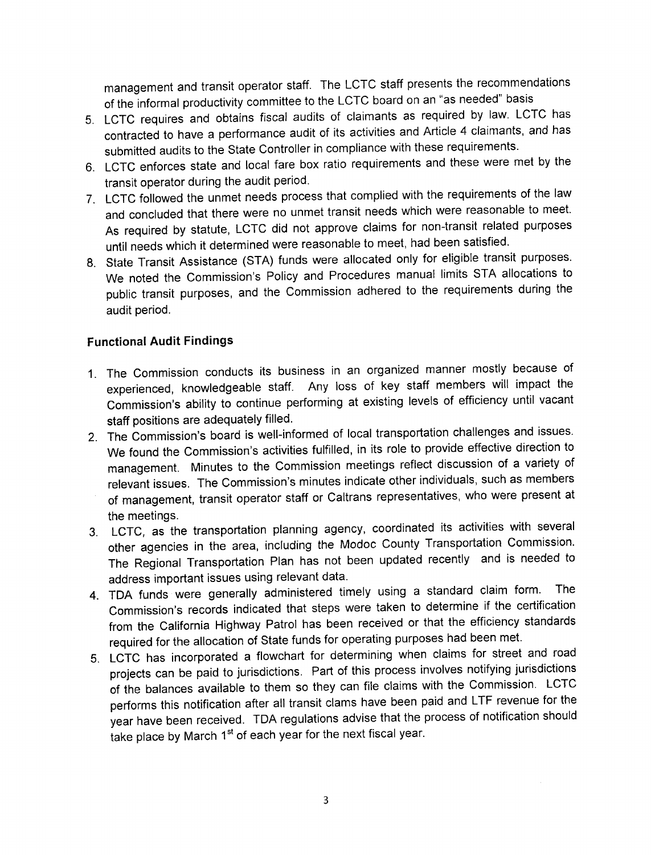management and transit operator staff. The LCTC staff presents the recommendations of the informal productivity committee to the LCTC board on an "as needed" basis

- 5. LCTC requires and obtains fiscal audits of claimants as required by law. LCTC has contracted to have a performance audit of its activities and Article 4 claimants, and has submitted audits to the State Controller in compliance with these requirements.
- 6. LCTC enforces state and local fare box ratio requirements and these were met by the transit operator during the audit period.
- 7. LCTC followed the unmet needs process that complied with the requirements of the law and concluded that there were no unmet transit needs which were reasonable to meet. As required by statute, LCTC did not approve claims for non-transit related purposes until needs which it determined were reasonable to meet, had been satisfied.
- 8. State Transit Assistance (STA) funds were allocated only for eligible transit purposes. We noted the Commission's Policy and Procedures manual limits STA allocations to public transit purposes, and the Commission adhered to the requirements during the audit period.

## **Functional Audit Findings**

- 1. The Commission conducts its business in an organized manner mostly because of experienced, knowledgeable staff. Any loss of key staff members will impact the Commission's ability to continue performing at existing levels of efficiency until vacant staff positions are adequately filled.
- 2. The Commission's board is well-informed of local transportation challenges and issues. We found the Commission's activities fulfilled, in its role to provide effective direction to management. Minutes to the Commission meetings reflect discussion of a variety of relevant issues. The Commission's minutes indicate other individuals, such as members of management, transit operator staff or Caltrans representatives, who were present at the meetings.
- 3. LCTC, as the transportation planning agency, coordinated its activities with several other agencies in the area, including the Modoc County Transportation Commission. The Regional Transportation Plan has not been updated recently and is needed to address important issues using relevant data.
- 4. TDA funds were generally administered timely using a standard claim form. The Commission's records indicated that steps were taken to determine if the certification from the California Highway Patrol has been received or that the efficiency standards required for the allocation of State funds for operating purposes had been met.
- 5. LCTC has incorporated a flowchart for determining when claims for street and road projects can be paid to jurisdictions. Part of this process involves notifying jurisdictions of the balances available to them so they can file claims with the Commission. LCTC performs this notification after all transit clams have been paid and LTF revenue for the year have been received. TDA regulations advise that the process of notification should take place by March 1<sup>st</sup> of each year for the next fiscal year.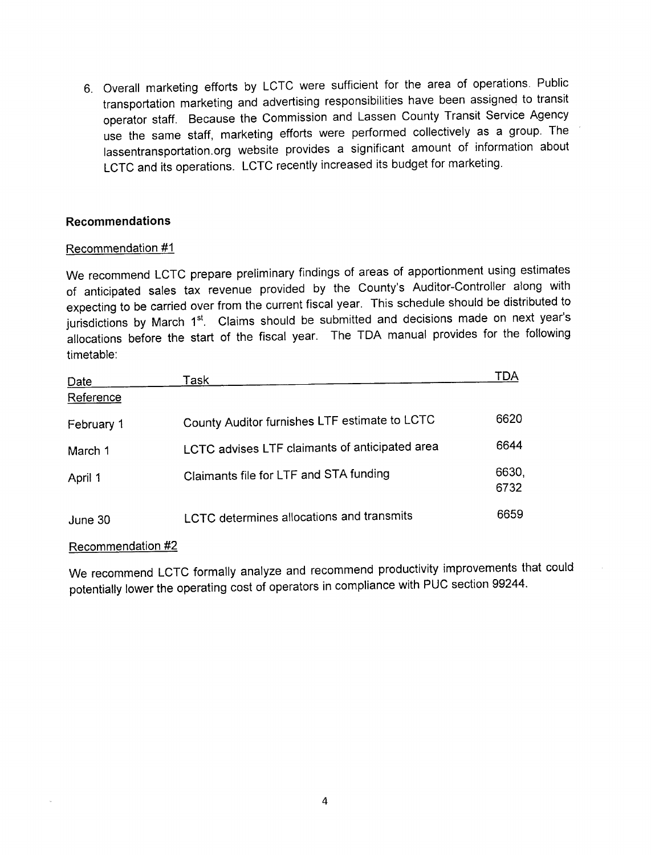6. Overall marketing efforts by LCTC were sufficient for the area of operations. Public transportation marketing and advertising responsibilities have been assigned to transit operator staff. Because the Commission and Lassen County Transit Service Agency use the same staff, marketing efforts were performed collectively as a group. The lassentransportation.org website provides a significant amount of information about LCTC and its operations. LCTC recently increased its budget for marketing.

## **Recommendations**

#### Recommendation #1

We recommend LCTC prepare preliminary findings of areas of apportionment using estimates of anticipated sales tax revenue provided by the County's Auditor-Controller along with expecting to be carried over from the current fiscal year. This schedule should be distributed to jurisdictions by March 1<sup>st</sup>. Claims should be submitted and decisions made on next year's allocations before the start of the fiscal year. The TDA manual provides for the following timetable:

| <b>Date</b> | Task                                           | TDA           |
|-------------|------------------------------------------------|---------------|
| Reference   |                                                |               |
| February 1  | County Auditor furnishes LTF estimate to LCTC  | 6620          |
| March 1     | LCTC advises LTF claimants of anticipated area | 6644          |
| April 1     | Claimants file for LTF and STA funding         | 6630,<br>6732 |
| June 30     | LCTC determines allocations and transmits      | 6659          |

#### Recommendation #2

We recommend LCTC formally analyze and recommend productivity improvements that could potentially lower the operating cost of operators in compliance with PUC section 99244.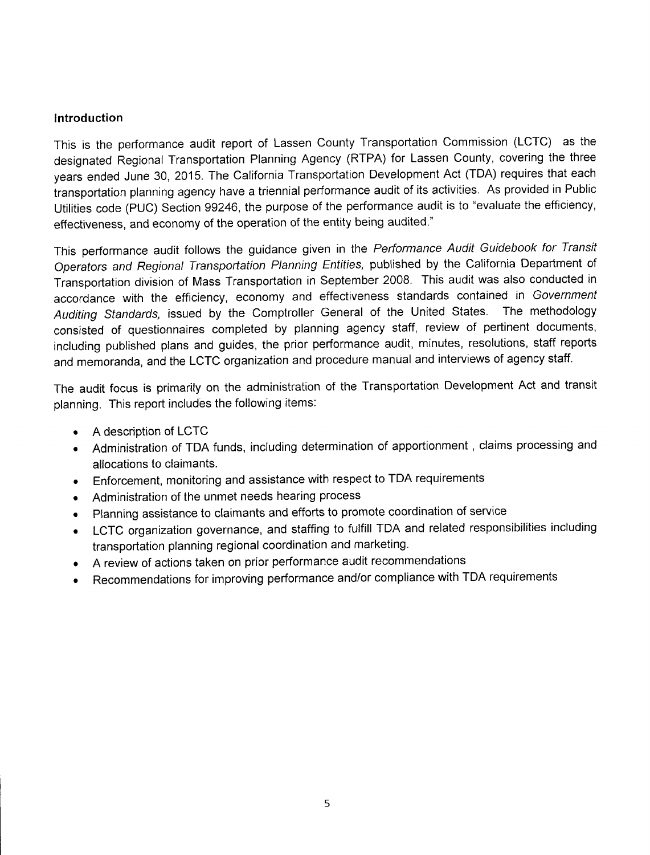#### **Introduction**

This is the performance audit report of Lassen County Transportation Commission (LCTC) as the designated Regional Transportation Planning Agency (RTPA) for Lassen County, covering the three years ended June 30, 2015. The California Transportation Development Act (TDA) requires that each transportation planning agency have a triennial performance audit of its activities. As provided in Public Utilities code (PUC) Section 99246, the purpose of the performance audit is to "evaluate the efficiency, effectiveness, and economy of the operation of the entity being audited."

This performance audit follows the guidance given in the Performance Audit Guidebook for Transit Operators and Regional Transportation Planning Entities, published by the California Department of Transportation division of Mass Transportation in September 2008. This audit was also conducted in accordance with the efficiency, economy and effectiveness standards contained in Government Auditing Standards, issued by the Comptroller General of the United States. The methodology consisted of questionnaires completed by planning agency staff, review of pertinent documents, including published plans and guides, the prior performance audit, minutes, resolutions, staff reports and memoranda, and the LCTC organization and procedure manual and interviews of agency staff.

The audit focus is primarily on the administration of the Transportation Development Act and transit planning. This report includes the following items:

- A description of LCTC
- Administration of TDA funds, including determination of apportionment, claims processing and allocations to claimants.
- Enforcement, monitoring and assistance with respect to TDA requirements
- Administration of the unmet needs hearing process
- Planning assistance to claimants and efforts to promote coordination of service
- LCTC organization governance, and staffing to fulfill TDA and related responsibilities including transportation planning regional coordination and marketing.
- A review of actions taken on prior performance audit recommendations
- Recommendations for improving performance and/or compliance with TDA requirements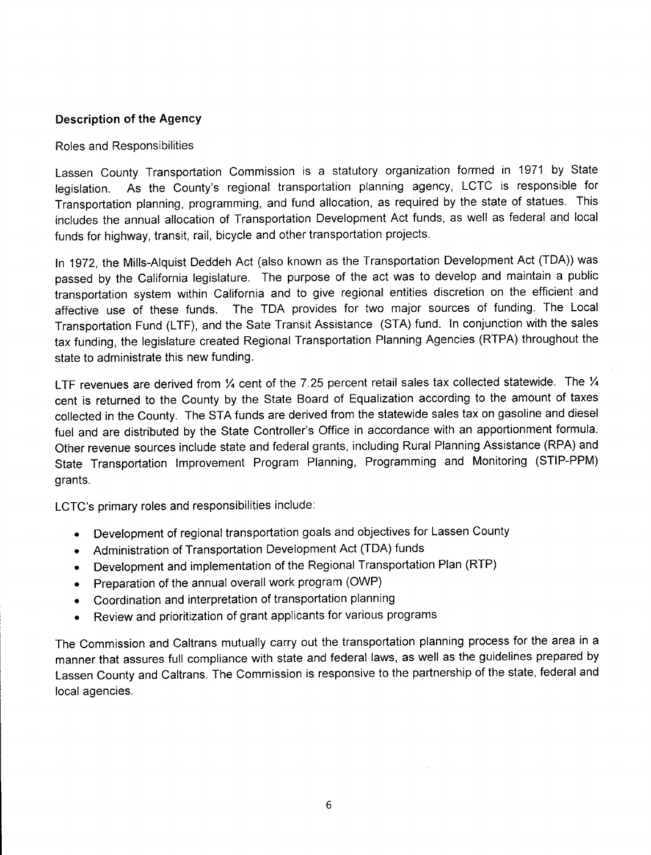#### **Description of the Agency**

#### Roles and Responsibilities

Lassen County Transportation Commission is a statutory organization formed in 1971 by State legislation. As the County's regional transportation planning agency, LCTC is responsible for Transportation planning, programming, and fund allocation, as required by the state of statues. This includes the annual allocation of Transportation Development Act funds, as well as federal and local funds for highway, transit, rail, bicycle and other transportation projects.

In 1972, the Mills-Alquist Deddeh Act (also known as the Transportation Development Act (TDA)) was passed by the California legislature. The purpose of the act was to develop and maintain a public transportation system within California and to give regional entities discretion on the efficient and affective use of these funds. The TDA provides for two major sources of funding. The Local Transportation Fund (LTF), and the Sate Transit Assistance (STA) fund. In conjunction with the sales tax funding, the legislature created Regional Transportation Planning Agencies (RTPA) throughout the state to administrate this new funding.

LTF revenues are derived from 1/4 cent of the 7.25 percent retail sales tax collected statewide. The 1/4 cent is returned to the County by the State Board of Equalization according to the amount of taxes collected in the County. The STA funds are derived from the statewide sales tax on gasoline and diesel fuel and are distributed by the State Controller's Office in accordance with an apportionment formula. Other revenue sources include state and federal grants, including Rural Planning Assistance (RPA) and State Transportation Improvement Program Planning, Programming and Monitoring (STIP-PPM) grants.

LCTC's primary roles and responsibilities include:

- Development of regional transportation goals and objectives for Lassen County
- Administration of Transportation Development Act (TDA) funds
- Development and implementation of the Regional Transportation Plan (RTP)
- Preparation of the annual overall work program (OWP)
- Coordination and interpretation of transportation planning
- Review and prioritization of grant applicants for various programs

The Commission and Caltrans mutually carry out the transportation planning process for the area in a manner that assures full compliance with state and federal laws, as well as the guidelines prepared by Lassen County and Caltrans. The Commission is responsive to the partnership of the state, federal and local agencies.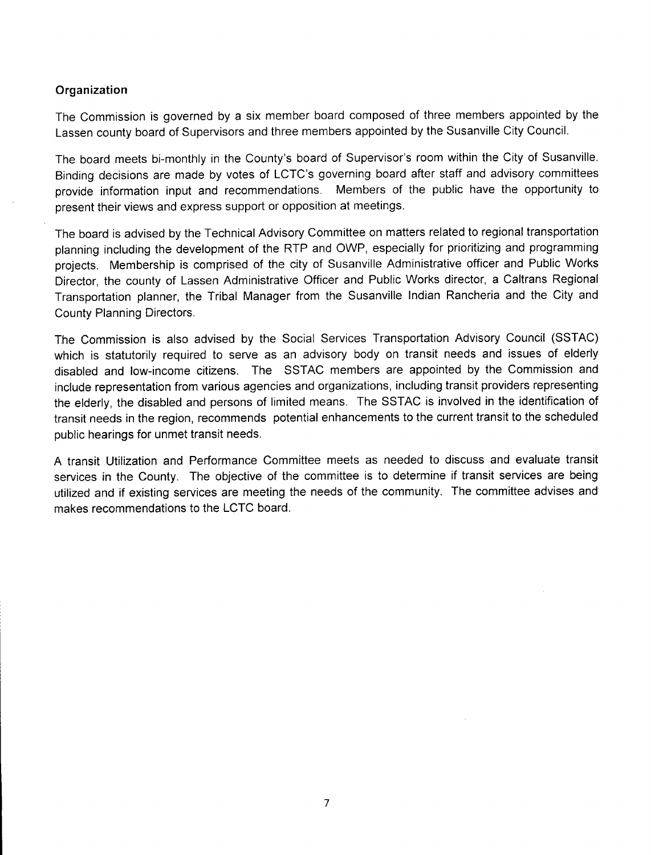#### **Organization**

The Commission is governed by a six member board composed of three members appointed by the Lassen county board of Supervisors and three members appointed by the Susanville City Council.

The board meets bi-monthly in the County's board of Supervisor's room within the City of Susanville. Binding decisions are made by votes of LCTC's governing board after staff and advisory committees provide information input and recommendations. Members of the public have the opportunity to present their views and express support or opposition at meetings.

The board is advised by the Technical Advisory Committee on matters related to regional transportation planning including the development of the RTP and OWP, especially for prioritizing and programming projects. Membership is comprised of the city of Susanville Administrative officer and Public Works Director, the county of Lassen Administrative Officer and Public Works director, a Caltrans Regional Transportation planner, the Tribal Manager from the Susanville Indian Rancheria and the City and County Planning Directors.

The Commission is also advised by the Social Services Transportation Advisory Council (SSTAC) which is statutorily required to serve as an advisory body on transit needs and issues of elderly disabled and low-income citizens. The SSTAC members are appointed by the Commission and include representation from various agencies and organizations, including transit providers representing the elderly, the disabled and persons of limited means. The SSTAC is involved in the identification of transit needs in the region, recommends potential enhancements to the current transit to the scheduled public hearings for unmet transit needs.

A transit Utilization and Performance Committee meets as needed to discuss and evaluate transit services in the County. The objective of the committee is to determine if transit services are being utilized and if existing services are meeting the needs of the community. The committee advises and makes recommendations to the LCTC board.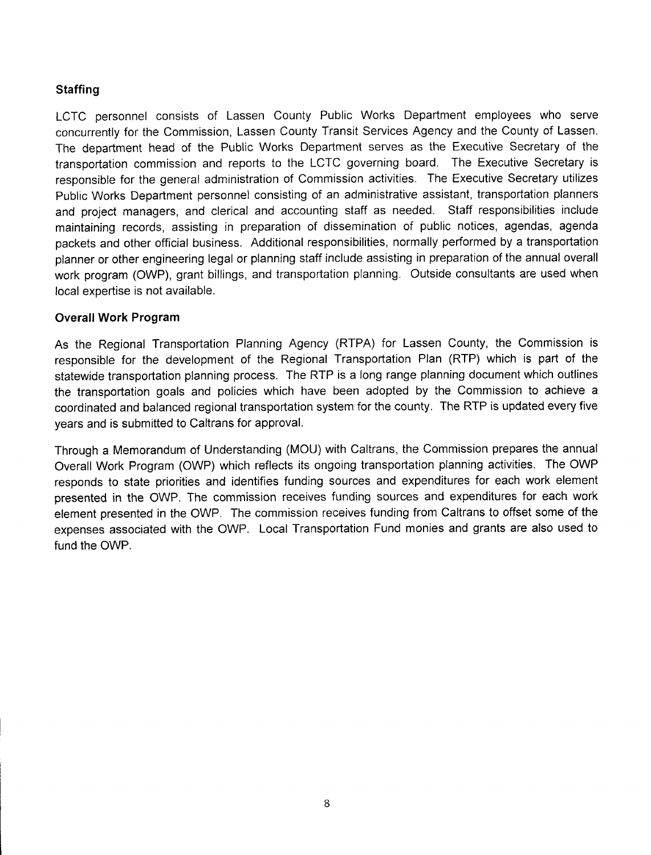## **Staffing**

LCTC personnel consists of Lassen County Public Works Department employees who serve concurrently for the Commission, Lassen County Transit Services Agency and the County of Lassen. The department head of the Public Works Department serves as the Executive Secretary of the transportation commission and reports to the LCTC governing board. The Executive Secretary is responsible for the general administration of Commission activities. The Executive Secretary utilizes Public Works Department personnel consisting of an administrative assistant, transportation planners and project managers, and clerical and accounting staff as needed. Staff responsibilities include maintaining records, assisting in preparation of dissemination of public notices, agendas, agenda packets and other official business. Additional responsibilities, normally performed by a transportation planner or other engineering legal or planning staff include assisting in preparation of the annual overall work program (OWP), grant billings, and transportation planning. Outside consultants are used when local expertise is not available.

#### **Overall Work Program**

As the Regional Transportation Planning Agency (RTPA) for Lassen County, the Commission is responsible for the development of the Regional Transportation Plan (RTP) which is part of the statewide transportation planning process. The RTP is a long range planning document which outlines the transportation goals and policies which have been adopted by the Commission to achieve a coordinated and balanced regional transportation system for the county. The RTP is updated every five years and is submitted to Caltrans for approval.

Through a Memorandum of Understanding (MOU) with Caltrans, the Commission prepares the annual Overall Work Program (OWP) which reflects its ongoing transportation planning activities. The OWP responds to state priorities and identifies funding sources and expenditures for each work element presented in the OWP. The commission receives funding sources and expenditures for each work element presented in the OWP. The commission receives funding from Caltrans to offset some of the expenses associated with the OWP. Local Transportation Fund monies and grants are also used to fund the OWP.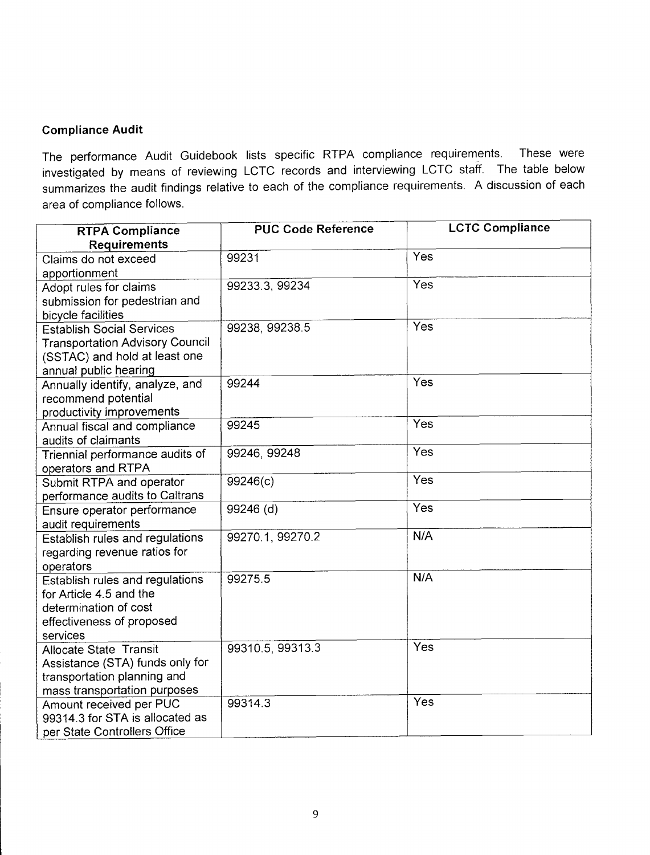#### **Compliance Audit**

The performance Audit Guidebook lists specific RTPA compliance requirements. These were investigated by means of reviewing LCTC records and interviewing LCTC staff. The table below summarizes the audit findings relative to each of the compliance requirements. A discussion of each area of compliance follows.

| <b>RTPA Compliance</b>                                     | <b>PUC Code Reference</b> | <b>LCTC Compliance</b> |
|------------------------------------------------------------|---------------------------|------------------------|
| <b>Requirements</b>                                        |                           |                        |
| Claims do not exceed                                       | 99231                     | Yes                    |
| apportionment                                              |                           |                        |
| Adopt rules for claims                                     | 99233.3, 99234            | Yes                    |
| submission for pedestrian and                              |                           |                        |
| bicycle facilities                                         |                           |                        |
| <b>Establish Social Services</b>                           | 99238, 99238.5            | Yes                    |
| <b>Transportation Advisory Council</b>                     |                           |                        |
| (SSTAC) and hold at least one                              |                           |                        |
| annual public hearing                                      |                           |                        |
| Annually identify, analyze, and                            | 99244                     | Yes                    |
| recommend potential                                        |                           |                        |
| productivity improvements                                  |                           |                        |
| Annual fiscal and compliance                               | 99245                     | Yes                    |
| audits of claimants                                        |                           |                        |
| Triennial performance audits of                            | 99246, 99248              | Yes                    |
| operators and RTPA                                         |                           |                        |
| Submit RTPA and operator                                   | 99246(c)                  | Yes                    |
| performance audits to Caltrans                             |                           | Yes                    |
| Ensure operator performance                                | 99246 (d)                 |                        |
| audit requirements                                         |                           | N/A                    |
| Establish rules and regulations                            | 99270.1, 99270.2          |                        |
| regarding revenue ratios for                               |                           |                        |
| operators                                                  |                           | N/A                    |
| Establish rules and regulations                            | 99275.5                   |                        |
| for Article 4.5 and the                                    |                           |                        |
| determination of cost                                      |                           |                        |
| effectiveness of proposed                                  |                           |                        |
| services                                                   | 99310.5, 99313.3          | Yes                    |
| Allocate State Transit                                     |                           |                        |
| Assistance (STA) funds only for                            |                           |                        |
| transportation planning and                                |                           |                        |
| mass transportation purposes                               | 99314.3                   | Yes                    |
| Amount received per PUC<br>99314.3 for STA is allocated as |                           |                        |
|                                                            |                           |                        |
| per State Controllers Office                               |                           |                        |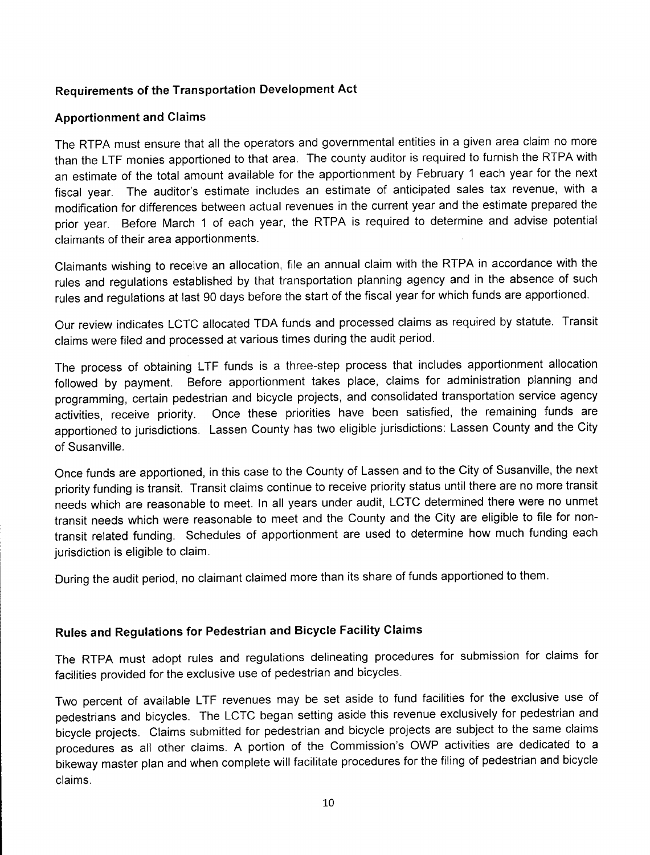## **Requirements of the Transportation Development Act**

#### **Apportionment and Claims**

The RTPA must ensure that all the operators and governmental entities in a given area claim no more than the LTF monies apportioned to that area. The county auditor is required to furnish the RTPA with an estimate of the total amount available for the apportionment by February 1 each year for the next fiscal year. The auditor's estimate includes an estimate of anticipated sales tax revenue, with a modification for differences between actual revenues in the current year and the estimate prepared the prior year. Before March 1 of each year, the RTPA is required to determine and advise potential claimants of their area apportionments.

Claimants wishing to receive an allocation, file an annual claim with the RTPA in accordance with the rules and regulations established by that transportation planning agency and in the absence of such rules and regulations at last 90 days before the start of the fiscal year for which funds are apportioned.

Our review indicates LCTC allocated TDA funds and processed claims as required by statute. Transit claims were filed and processed at various times during the audit period.

The process of obtaining LTF funds is a three-step process that includes apportionment allocation followed by payment. Before apportionment takes place, claims for administration planning and programming, certain pedestrian and bicycle projects, and consolidated transportation service agency activities, receive priority. Once these priorities have been satisfied, the remaining funds are apportioned to jurisdictions. Lassen County has two eligible jurisdictions: Lassen County and the City of Susanville.

Once funds are apportioned, in this case to the County of Lassen and to the City of Susanville, the next priority funding is transit. Transit claims continue to receive priority status until there are no more transit needs which are reasonable to meet. In all years under audit, LCTC determined there were no unmet transit needs which were reasonable to meet and the County and the City are eligible to file for nontransit related funding. Schedules of apportionment are used to determine how much funding each jurisdiction is eligible to claim.

During the audit period, no claimant claimed more than its share of funds apportioned to them.

## **Rules and Regulations for Pedestrian and Bicycle Facility Claims**

The RTPA must adopt rules and regulations delineating procedures for submission for claims for facilities provided for the exclusive use of pedestrian and bicycles.

Two percent of available LTF revenues may be set aside to fund facilities for the exclusive use of pedestrians and bicycles. The LCTC began setting aside this revenue exclusively for pedestrian and bicycle projects. Claims submitted for pedestrian and bicycle projects are subject to the same claims procedures as all other claims. A portion of the Commission's OWP activities are dedicated to a bikeway master plan and when complete will facilitate procedures for the filing of pedestrian and bicycle claims.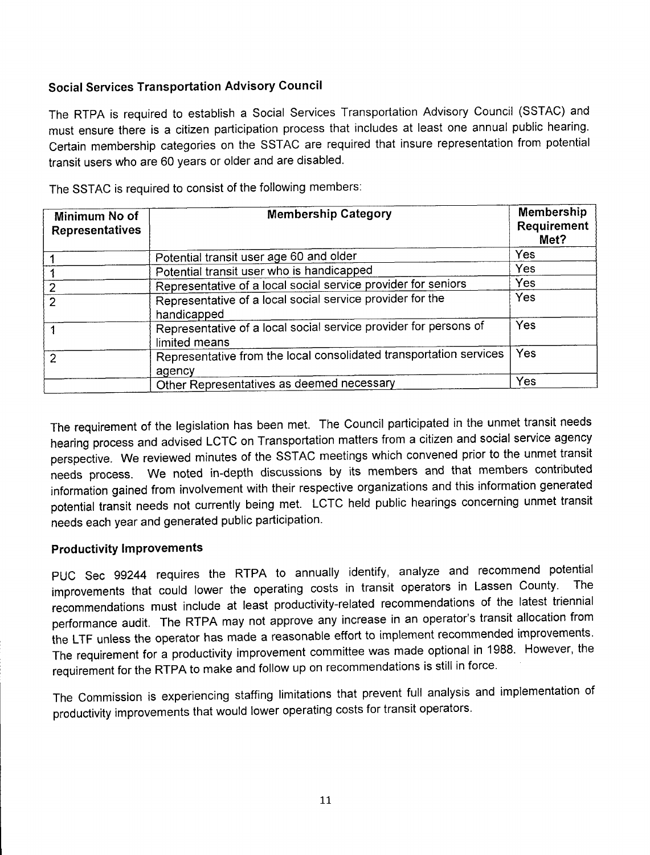## **Social Services Transportation Advisory Council**

The RTPA is required to establish a Social Services Transportation Advisory Council (SSTAC) and must ensure there is a citizen participation process that includes at least one annual public hearing. Certain membership categories on the SSTAC are required that insure representation from potential transit users who are 60 years or older and are disabled.

| Minimum No of<br><b>Representatives</b> | <b>Membership Category</b>                                                        | <b>Membership</b><br>Requirement<br>Met? |
|-----------------------------------------|-----------------------------------------------------------------------------------|------------------------------------------|
|                                         | Potential transit user age 60 and older                                           | Yes                                      |
|                                         | Potential transit user who is handicapped                                         | <b>Yes</b>                               |
| 2                                       | Representative of a local social service provider for seniors                     | Yes                                      |
| $\mathcal{P}$                           | Representative of a local social service provider for the<br>handicapped          | Yes                                      |
|                                         | Representative of a local social service provider for persons of<br>limited means | Yes                                      |
| $\mathcal{P}$                           | Representative from the local consolidated transportation services<br>agency      | Yes                                      |
|                                         | Other Representatives as deemed necessary                                         | Yes                                      |

The SSTAC is required to consist of the following members:

The requirement of the legislation has been met. The Council participated in the unmet transit needs hearing process and advised LCTC on Transportation matters from a citizen and social service agency perspective. We reviewed minutes of the SSTAC meetings which convened prior to the unmet transit needs process. We noted in-depth discussions by its members and that members contributed information gained from involvement with their respective organizations and this information generated potential transit needs not currently being met. LCTC held public hearings concerning unmet transit needs each year and generated public participation.

## **Productivity Improvements**

PUC Sec 99244 requires the RTPA to annually identify, analyze and recommend potential improvements that could lower the operating costs in transit operators in Lassen County. The recommendations must include at least productivity-related recommendations of the latest triennial performance audit. The RTPA may not approve any increase in an operator's transit allocation from the LTF unless the operator has made a reasonable effort to implement recommended improvements. The requirement for a productivity improvement committee was made optional in 1988. However, the requirement for the RTPA to make and follow up on recommendations is still in force.

The Commission is experiencing staffing limitations that prevent full analysis and implementation of productivity improvements that would lower operating costs for transit operators.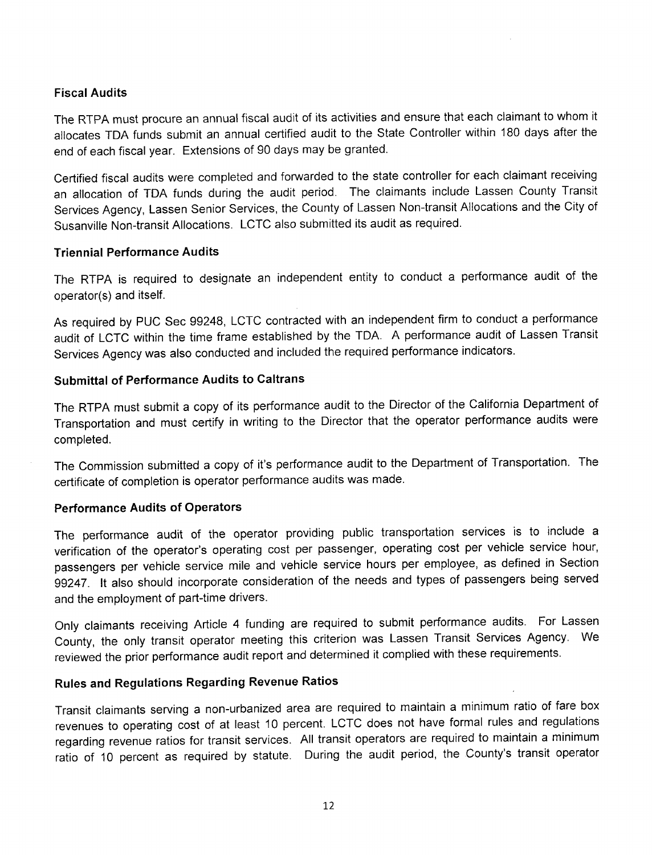#### **Fiscal Audits**

The RTPA must procure an annual fiscal audit of its activities and ensure that each claimant to whom it allocates TDA funds submit an annual certified audit to the State Controller within 180 days after the end of each fiscal year. Extensions of 90 days may be granted.

Certified fiscal audits were completed and forwarded to the state controller for each claimant receiving an allocation of TDA funds during the audit period. The claimants include Lassen County Transit Services Agency, Lassen Senior Services, the County of Lassen Non-transit Allocations and the City of Susanville Non-transit Allocations. LCTC also submitted its audit as required.

#### **Triennial Performance Audits**

The RTPA is required to designate an independent entity to conduct a performance audit of the operator(s) and itself.

As required by PUC Sec 99248, LCTC contracted with an independent firm to conduct a performance audit of LCTC within the time frame established by the TDA. A performance audit of Lassen Transit Services Agency was also conducted and included the required performance indicators.

#### **Submittal of Performance Audits to Caltrans**

The RTPA must submit a copy of its performance audit to the Director of the California Department of Transportation and must certify in writing to the Director that the operator performance audits were completed.

The Commission submitted a copy of it's performance audit to the Department of Transportation. The certificate of completion is operator performance audits was made.

#### **Performance Audits of Operators**

The performance audit of the operator providing public transportation services is to include a verification of the operator's operating cost per passenger, operating cost per vehicle service hour, passengers per vehicle service mile and vehicle service hours per employee, as defined in Section 99247. It also should incorporate consideration of the needs and types of passengers being served and the employment of part-time drivers.

Only claimants receiving Article 4 funding are required to submit performance audits. For Lassen County, the only transit operator meeting this criterion was Lassen Transit Services Agency. We reviewed the prior performance audit report and determined it complied with these requirements.

#### **Rules and Regulations Regarding Revenue Ratios**

Transit claimants serving a non-urbanized area are required to maintain a minimum ratio of fare box revenues to operating cost of at least 10 percent. LCTC does not have formal rules and regulations regarding revenue ratios for transit services. All transit operators are required to maintain a minimum ratio of 10 percent as required by statute. During the audit period, the County's transit operator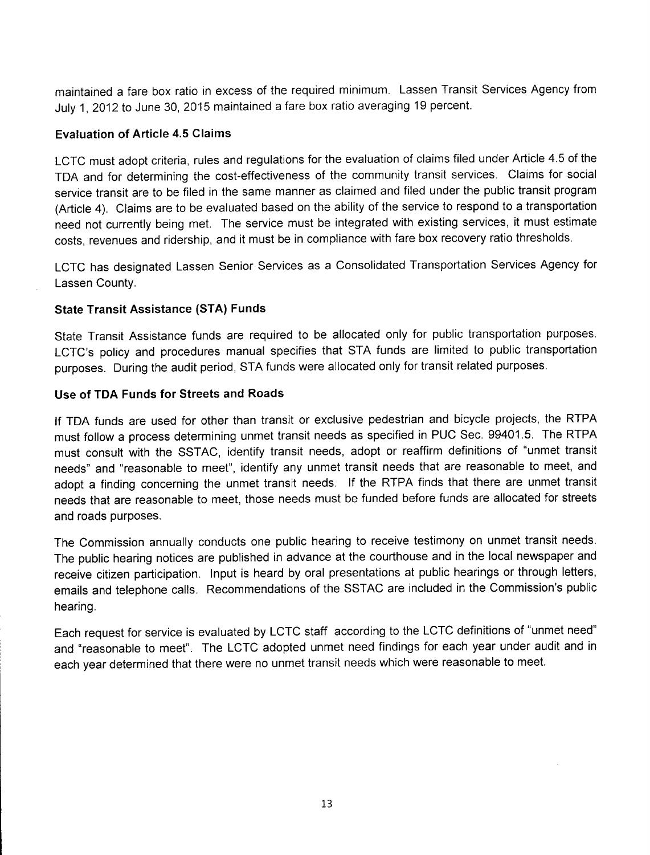maintained a fare box ratio in excess of the required minimum. Lassen Transit Services Agency from July 1, 2012 to June 30, 2015 maintained a fare box ratio averaging 19 percent.

#### **Evaluation of Article 4.5 Claims**

LCTC must adopt criteria, rules and regulations for the evaluation of claims filed under Article 4.5 of the TDA and for determining the cost-effectiveness of the community transit services. Claims for social service transit are to be filed in the same manner as claimed and filed under the public transit program (Article 4). Claims are to be evaluated based on the ability of the service to respond to a transportation need not currently being met. The service must be integrated with existing services, it must estimate costs, revenues and ridership, and it must be in compliance with fare box recovery ratio thresholds.

LCTC has designated Lassen Senior Services as a Consolidated Transportation Services Agency for Lassen County.

#### **State Transit Assistance (STA) Funds**

State Transit Assistance funds are required to be allocated only for public transportation purposes. LCTC's policy and procedures manual specifies that STA funds are limited to public transportation purposes. During the audit period, STA funds were allocated only for transit related purposes.

#### **Use of TDA Funds for Streets and Roads**

If TDA funds are used for other than transit or exclusive pedestrian and bicycle projects, the RTPA must follow a process determining unmet transit needs as specified in PUC Sec. 99401.5. The RTPA must consult with the SSTAC, identify transit needs, adopt or reaffirm definitions of "unmet transit needs" and "reasonable to meet", identify any unmet transit needs that are reasonable to meet, and adopt a finding concerning the unmet transit needs. If the RTPA finds that there are unmet transit needs that are reasonable to meet, those needs must be funded before funds are allocated for streets and roads purposes.

The Commission annually conducts one public hearing to receive testimony on unmet transit needs. The public hearing notices are published in advance at the courthouse and in the local newspaper and receive citizen participation. Input is heard by oral presentations at public hearings or through letters, emails and telephone calls. Recommendations of the SSTAC are included in the Commission's public hearing.

Each request for service is evaluated by LCTC staff according to the LCTC definitions of "unmet need" and "reasonable to meet". The LCTC adopted unmet need findings for each year under audit and in each year determined that there were no unmet transit needs which were reasonable to meet.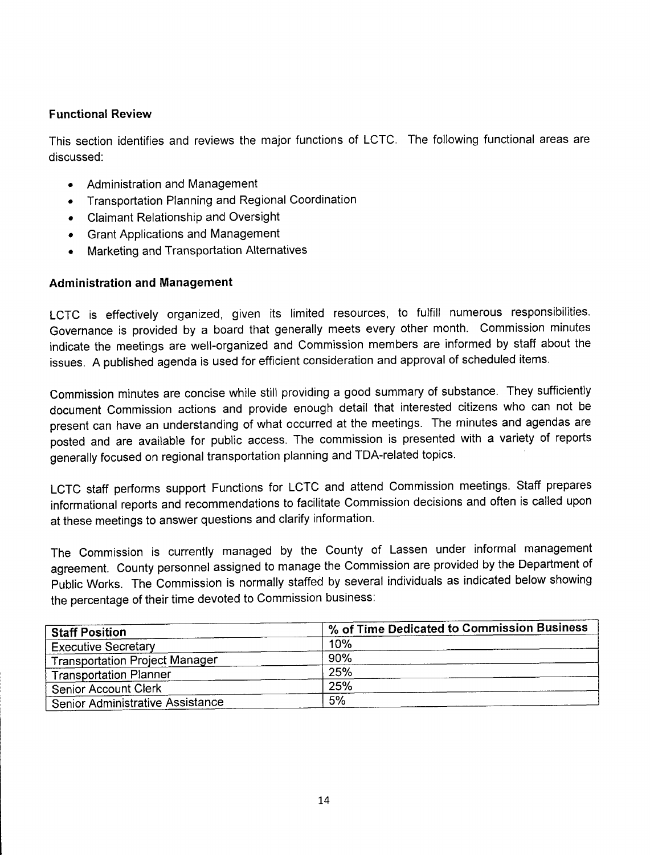#### **Functional Review**

This section identifies and reviews the major functions of LCTC. The following functional areas are discussed:

- Administration and Management
- Transportation Planning and Regional Coordination
- Claimant Relationship and Oversight
- Grant Applications and Management
- Marketing and Transportation Alternatives

## **Administration and Management**

LCTC is effectively organized, given its limited resources, to fulfill numerous responsibilities. Governance is provided by a board that generally meets every other month. Commission minutes indicate the meetings are well-organized and Commission members are informed by staff about the issues. A published agenda is used for efficient consideration and approval of scheduled items.

Commission minutes are concise while still providing a good summary of substance. They sufficiently document Commission actions and provide enough detail that interested citizens who can not be present can have an understanding of what occurred at the meetings. The minutes and agendas are posted and are available for public access. The commission is presented with a variety of reports generally focused on regional transportation planning and TDA-related topics.

LCTC staff performs support Functions for LCTC and attend Commission meetings. Staff prepares informational reports and recommendations to facilitate Commission decisions and often is called upon at these meetings to answer questions and clarify information.

The Commission is currently managed by the County of Lassen under informal management agreement. County personnel assigned to manage the Commission are provided by the Department of Public Works. The Commission is normally staffed by several individuals as indicated below showing the percentage of their time devoted to Commission business:

| <b>Staff Position</b>                 | % of Time Dedicated to Commission Business |  |
|---------------------------------------|--------------------------------------------|--|
| <b>Executive Secretary</b>            | 10%                                        |  |
| <b>Transportation Project Manager</b> | 90%                                        |  |
| <b>Transportation Planner</b>         | 25%                                        |  |
| <b>Senior Account Clerk</b>           | 25%                                        |  |
| Senior Administrative Assistance      | 5%                                         |  |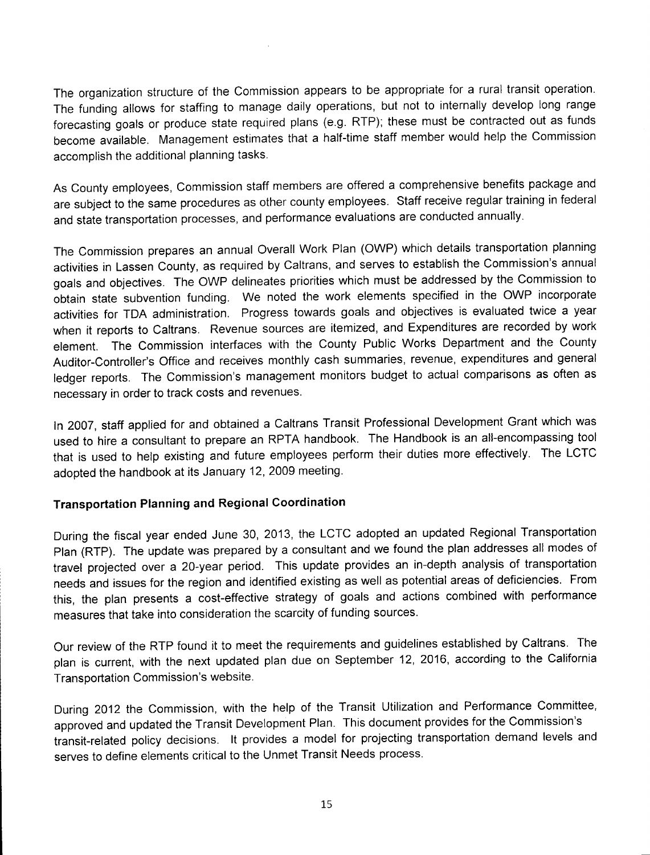The organization structure of the Commission appears to be appropriate for a rural transit operation. The funding allows for staffing to manage daily operations, but not to internally develop long range forecasting goals or produce state required plans (e.g. RTP); these must be contracted out as funds become available. Management estimates that a half-time staff member would help the Commission accomplish the additional planning tasks.

As County employees, Commission staff members are offered a comprehensive benefits package and are subject to the same procedures as other county employees. Staff receive regular training in federal and state transportation processes, and performance evaluations are conducted annually.

The Commission prepares an annual Overall Work Plan (OWP) which details transportation planning activities in Lassen County, as required by Caltrans, and serves to establish the Commission's annual goals and objectives. The OWP delineates priorities which must be addressed by the Commission to obtain state subvention funding. We noted the work elements specified in the OWP incorporate activities for TDA administration. Progress towards goals and objectives is evaluated twice a year when it reports to Caltrans. Revenue sources are itemized, and Expenditures are recorded by work element. The Commission interfaces with the County Public Works Department and the County Auditor-Controller's Office and receives monthly cash summaries, revenue, expenditures and general ledger reports. The Commission's management monitors budget to actual comparisons as often as necessary in order to track costs and revenues.

In 2007, staff applied for and obtained a Caltrans Transit Professional Development Grant which was used to hire a consultant to prepare an RPTA handbook. The Handbook is an all-encompassing tool that is used to help existing and future employees perform their duties more effectively. The LCTC adopted the handbook at its January 12, 2009 meeting.

#### **Transportation Planning and Regional Coordination**

During the fiscal year ended June 30, 2013, the LCTC adopted an updated Regional Transportation Plan (RTP). The update was prepared by a consultant and we found the plan addresses all modes of travel projected over a 20-year period. This update provides an in-depth analysis of transportation needs and issues for the region and identified existing as well as potential areas of deficiencies. From this, the plan presents a cost-effective strategy of goals and actions combined with performance measures that take into consideration the scarcity of funding sources.

Our review of the RTP found it to meet the requirements and guidelines established by Caltrans. The plan is current, with the next updated plan due on September 12, 2016, according to the California Transportation Commission's website.

During 2012 the Commission, with the help of the Transit Utilization and Performance Committee, approved and updated the Transit Development Plan. This document provides for the Commission's transit-related policy decisions. It provides a model for projecting transportation demand levels and serves to define elements critical to the Unmet Transit Needs process.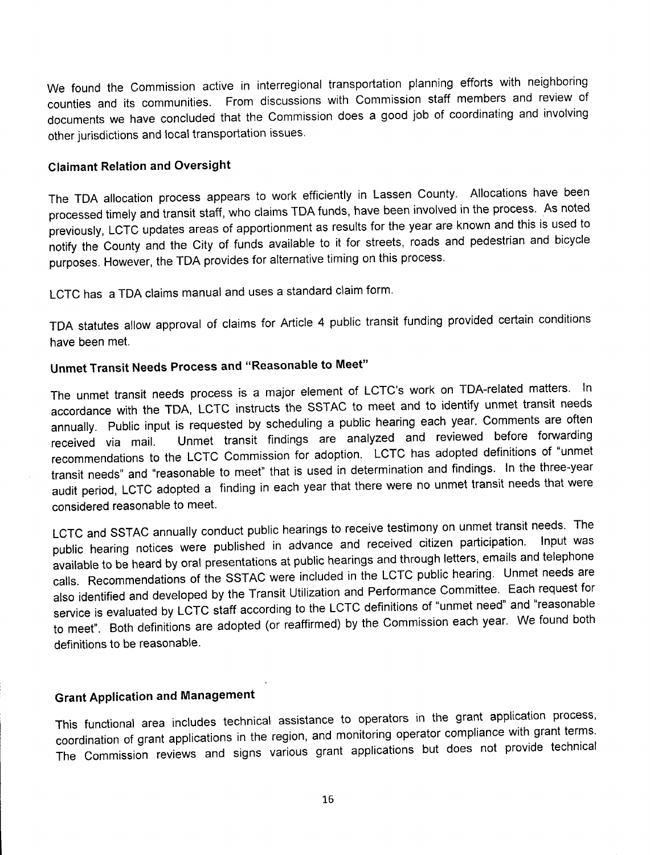We found the Commission active in interregional transportation planning efforts with neighboring counties and its communities. From discussions with Commission staff members and review of documents we have concluded that the Commission does a good job of coordinating and involving other jurisdictions and local transportation issues.

#### **Claimant Relation and Oversight**

The TDA allocation process appears to work efficiently in Lassen County. Allocations have been processed timely and transit staff, who claims TDA funds, have been involved in the process. As noted previously, LCTC updates areas of apportionment as results for the year are known and this is used to notify the County and the City of funds available to it for streets, roads and pedestrian and bicycle purposes. However, the TDA provides for alternative timing on this process.

LCTC has a TDA claims manual and uses a standard claim form.

TDA statutes allow approval of claims for Article 4 public transit funding provided certain conditions have been met.

## **Unmet Transit Needs Process and "Reasonable to Meet"**

The unmet transit needs process is a major element of LCTC's work on TDA-related matters. In accordance with the TDA, LCTC instructs the SSTAC to meet and to identify unmet transit needs annually. Public input is requested by scheduling a public hearing each year. Comments are often received via mail. Unmet transit findings are analyzed and reviewed before forwarding recommendations to the LCTC Commission for adoption. LCTC has adopted definitions of "unmet transit needs" and "reasonable to meet" that is used in determination and findings. In the three-year audit period, LCTC adopted a finding in each year that there were no unmet transit needs that were considered reasonable to meet.

LCTC and SSTAC annually conduct public hearings to receive testimony on unmet transit needs. The public hearing notices were published in advance and received citizen participation. available to be heard by oral presentations at public hearings and through letters, emails and telephone calls. Recommendations of the SSTAC were included in the LCTC public hearing. Unmet needs are also identified and developed by the Transit Utilization and Performance Committee. Each request for service is evaluated by LCTC staff according to the LCTC definitions of "unmet need" and "reasonable to meet". Both definitions are adopted (or reaffirmed) by the Commission each year. We found both definitions to be reasonable.

## **Grant Application and Management**

This functional area includes technical assistance to operators in the grant application process, coordination of grant applications in the region, and monitoring operator compliance with grant terms. The Commission reviews and signs various grant applications but does not provide technical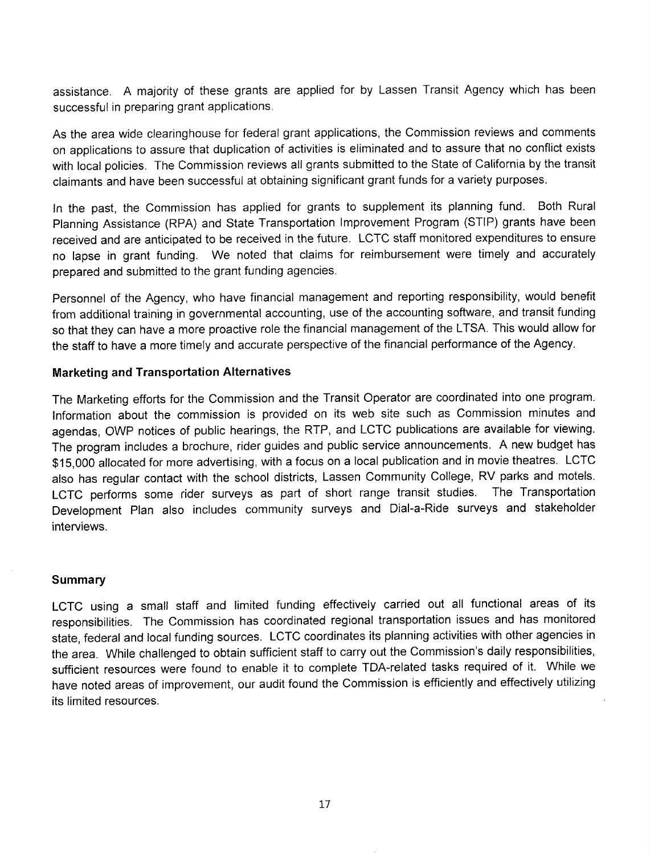assistance. A majority of these grants are applied for by Lassen Transit Agency which has been successful in preparing grant applications.

As the area wide clearinghouse for federal grant applications, the Commission reviews and comments on applications to assure that duplication of activities is eliminated and to assure that no conflict exists with local policies. The Commission reviews all grants submitted to the State of California by the transit claimants and have been successful at obtaining significant grant funds for a variety purposes.

In the past, the Commission has applied for grants to supplement its planning fund. Both Rural Planning Assistance (RPA) and State Transportation Improvement Program (STIP) grants have been received and are anticipated to be received in the future. LCTC staff monitored expenditures to ensure no lapse in grant funding. We noted that claims for reimbursement were timely and accurately prepared and submitted to the grant funding agencies.

Personnel of the Agency, who have financial management and reporting responsibility, would benefit from additional training in governmental accounting, use of the accounting software, and transit funding so that they can have a more proactive role the financial management of the LTSA. This would allow for the staff to have a more timely and accurate perspective of the financial performance of the Agency.

#### **Marketing and Transportation Alternatives**

The Marketing efforts for the Commission and the Transit Operator are coordinated into one program. Information about the commission is provided on its web site such as Commission minutes and agendas, OWP notices of public hearings, the RTP, and LCTC publications are available for viewing. The program includes a brochure, rider guides and public service announcements. A new budget has \$15,000 allocated for more advertising, with a focus on a local publication and in movie theatres. LCTC also has regular contact with the school districts, Lassen Community College, RV parks and motels. LCTC performs some rider surveys as part of short range transit studies. The Transportation Development Plan also includes community surveys and Dial-a-Ride surveys and stakeholder interviews.

#### **Summary**

LCTC using a small staff and limited funding effectively carried out all functional areas of its responsibilities. The Commission has coordinated regional transportation issues and has monitored state, federal and local funding sources. LCTC coordinates its planning activities with other agencies in the area. While challenged to obtain sufficient staff to carry out the Commission's daily responsibilities, sufficient resources were found to enable it to complete TDA-related tasks required of it. While we have noted areas of improvement, our audit found the Commission is efficiently and effectively utilizing its limited resources.